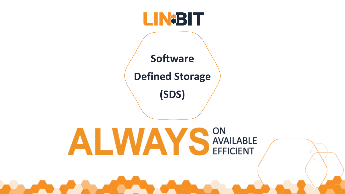## **LINGBIT**

**Software Defined Storage**

**(SDS)**

### EFFICIENT JIN<br>AVAILADLI -<br>د ا ON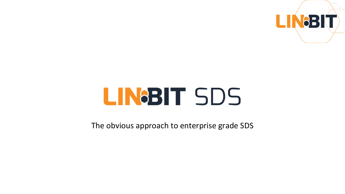

# LINGBIT SDS

The obvious approach to enterprise grade SDS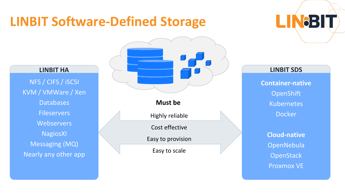## **LINBIT Software-Defined Storage**

NFS / CIFS / iSCSI KVM / VMWare / Xen **Databases Fileservers Webservers** NagiosXI Messaging (MQ) Nearly any other app



LINGBIT

**Container-native OpenShift** Kubernetes Docker

**Cloud-native** OpenNebula **OpenStack** Proxmox VE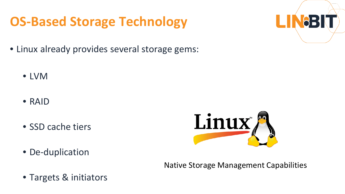## **OS-Based Storage Technology**

- Linux already provides several storage gems:
	- LVM
	- RAID
	- SSD cache tiers



• De-duplication

Native Storage Management Capabilities

• Targets & initiators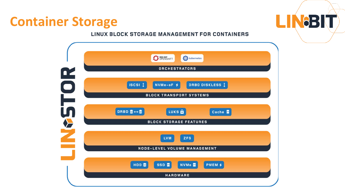## **Container Storage**

### LINUX BLOCK STORAGE MANAGEMENT FOR CONTAINERS

LINGBIT

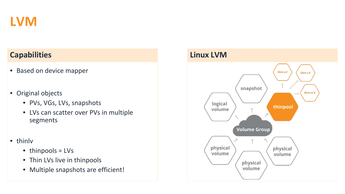

### **Capabilities Linux LVM**

- Based on device mapper
- Original objects
	- PVs, VGs, LVs, snapshots
	- LVs can scatter over PVs in multiple segments
- thinlv
	- thinpools = LVs
	- Thin LVs live in thinpools
	- Multiple snapshots are efficient!

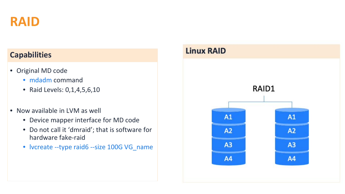

- Original MD code
	- mdadm command
	- Raid Levels: 0,1,4,5,6,10
- Now available in LVM as well
	- Device mapper interface for MD code
	- Do not call it 'dmraid'; that is software for hardware fake-raid
	- lvcreate --type raid6 --size 100G VG\_name

### **Capabilities Linux RAID**

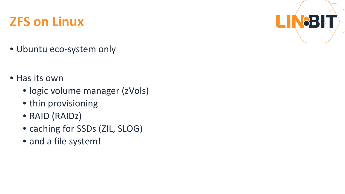## **ZFS on Linux**

- Ubuntu eco-system only
- Has its own
	- logic volume manager (zVols)

L

- thin provisioning
- RAID (RAIDz)
- caching for SSDs (ZIL, SLOG)
- and a file system!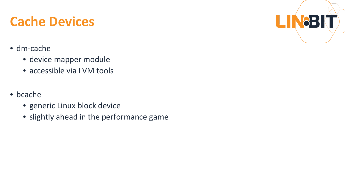## **Cache Devices**

- dm-cache
	- device mapper module
	- accessible via LVM tools
- bcache
	- generic Linux block device
	- slightly ahead in the performance game

LIN8BI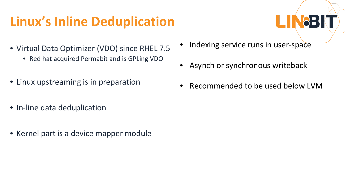## **Linux's Inline Deduplication**



- Virtual Data Optimizer (VDO) since RHEL 7.5
	- Red hat acquired Permabit and is GPLing VDO
- Linux upstreaming is in preparation
- In-line data deduplication
- Kernel part is a device mapper module
- Indexing service runs in user-space
- Asynch or synchronous writeback
- Recommended to be used below LVM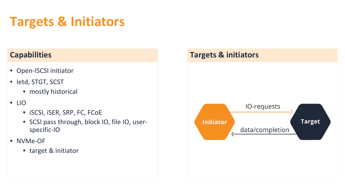## **Targets & Initiators**

- Open-ISCSI initiator
- Ietd, STGT, SCST
	- mostly historical
- LIO
	- iSCSI, iSER, SRP, FC, FCoE
	- SCSI pass through, block IO, file IO, userspecific-IO
- NVMe-OF
	- target & initiator

### **Capabilities Targets & initiators**

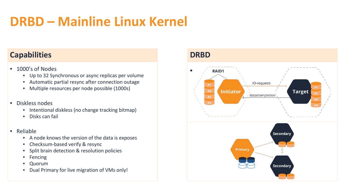## **DRBD – Mainline Linux Kernel**

### **Capabilities DRBD**

- 1000's of Nodes
	- Up to 32 Synchronous or async replicas per volume
	- Automatic partial resync after connection outage
	- Multiple resources per node possible (1000s)

### • Diskless nodes

- Intentional diskless (no change tracking bitmap)
- Disks can fail
- Reliable
	- A node knows the version of the data is exposes
	- Checksum-based verify & resync
	- Split brain detection & resolution policies
	- Fencing
	- Quorum
	- Dual Primary for live migration of VMs only!



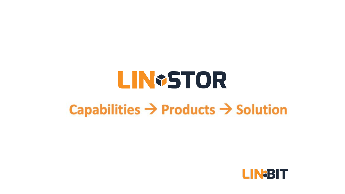# **LIN+STOR Capabilities → Products → Solution**

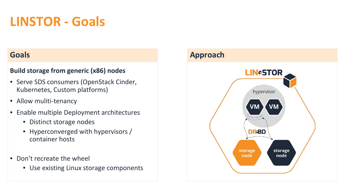## **LINSTOR - Goals**

### **Build storage from generic (x86) nodes**

- Serve SDS consumers (OpenStack Cinder, Kubernetes, Custom platforms)
- Allow muliti-tenancy
- Enable multiple Deployment architectures
	- Distinct storage nodes
	- Hyperconverged with hypervisors / container hosts
- Don't recreate the wheel
	- Use existing Linux storage components

### **Goals Approach**

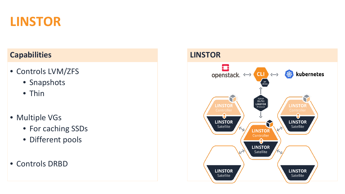

### **Capabilities LINSTOR**

- Controls LVM/ZFS
	- Snapshots
	- Thin
- Multiple VGs
	- For caching SSDs
	- Different pools

### • Controls DRBD

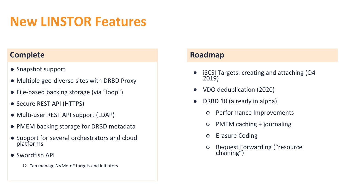## **New LINSTOR Features**

### **Complete Roadmap**

- Snapshot support
- Multiple geo-diverse sites with DRBD Proxy
- File-based backing storage (via "loop")
- Secure REST API (HTTPS)
- Multi-user REST API support (LDAP)
- PMEM backing storage for DRBD metadata
- Support for several orchestrators and cloud platforms
- Swordfish API
	- Can manage NVMe-oF targets and initiators

- $i$  iSCSI Targets: creating and attaching (Q4 2019)
- VDO deduplication (2020)
- DRBD 10 (already in alpha)
	- Performance Improvements
	- PMEM caching + journaling
	- Erasure Coding
	- Request Forwarding ("resource chaining")